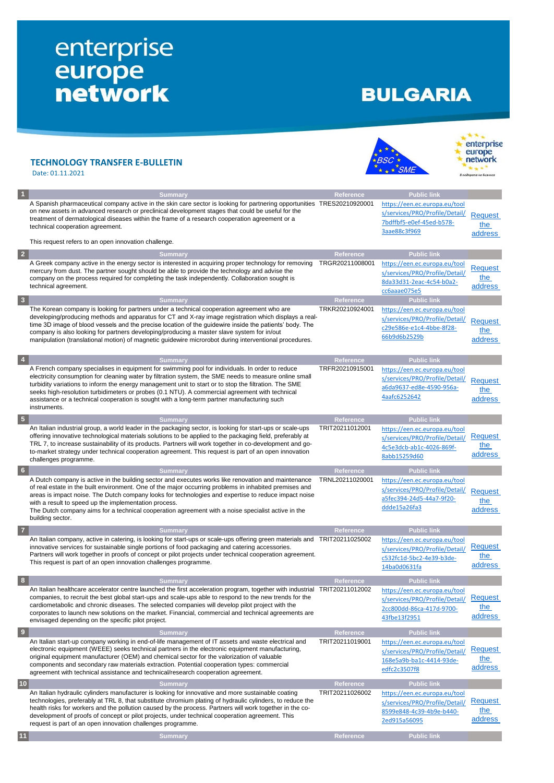## enterprise<br>
europe<br>
network

## **BULGARIA**

|                         | <b>TECHNOLOGY TRANSFER E-BULLETIN</b><br>Date: 01.11.2021                                                                                                                                                                                                                                                                                                                                                                                                                                                                                             |                                     |                                                                                                                                   | enterprise<br>europe<br>network<br>подкрепа на бизнесс |
|-------------------------|-------------------------------------------------------------------------------------------------------------------------------------------------------------------------------------------------------------------------------------------------------------------------------------------------------------------------------------------------------------------------------------------------------------------------------------------------------------------------------------------------------------------------------------------------------|-------------------------------------|-----------------------------------------------------------------------------------------------------------------------------------|--------------------------------------------------------|
| $\vert$ 1               | <b>Summary</b><br>A Spanish pharmaceutical company active in the skin care sector is looking for partnering opportunities TRES20210920001<br>on new assets in advanced research or preclinical development stages that could be useful for the<br>treatment of dermatological diseases within the frame of a research cooperation agreement or a<br>technical cooperation agreement.<br>This request refers to an open innovation challenge.                                                                                                          | Reference                           | <b>Public link</b><br>https://een.ec.europa.eu/tool<br>s/services/PRO/Profile/Detail/<br>7bdffbf5-e0ef-45ed-b578-<br>3aae88c3f969 | <b>Request</b><br>the<br>address                       |
|                         |                                                                                                                                                                                                                                                                                                                                                                                                                                                                                                                                                       |                                     |                                                                                                                                   |                                                        |
| $\overline{2}$          | <b>Summary</b><br>A Greek company active in the energy sector is interested in acquiring proper technology for removing<br>mercury from dust. The partner sought should be able to provide the technology and advise the<br>company on the process required for completing the task independently. Collaboration sought is<br>technical agreement.                                                                                                                                                                                                    | Reference<br>TRGR20211008001        | <b>Public link</b><br>https://een.ec.europa.eu/tool<br>s/services/PRO/Profile/Detail/<br>8da33d31-2eac-4c54-b0a2-<br>cc6aaae075e5 | <b>Request</b><br>the<br>address                       |
| $\vert 3 \vert$         | <b>Summary</b>                                                                                                                                                                                                                                                                                                                                                                                                                                                                                                                                        | Reference                           | <b>Public link</b>                                                                                                                |                                                        |
|                         | The Korean company is looking for partners under a technical cooperation agreement who are<br>developing/producing methods and apparatus for CT and X-ray image registration which displays a real-<br>time 3D image of blood vessels and the precise location of the guidewire inside the patients' body. The<br>company is also looking for partners developing/producing a master slave system for in/out<br>manipulation (translational motion) of magnetic guidewire microrobot during interventional procedures.                                | TRKR20210924001                     | https://een.ec.europa.eu/tool<br>s/services/PRO/Profile/Detail/<br>c29e586e-e1c4-4bbe-8f28-<br>66b9d6b2529b                       | Request<br>the<br>address                              |
| $\overline{4}$          | <b>Summary</b><br>A French company specialises in equipment for swimming pool for individuals. In order to reduce<br>electricity consumption for cleaning water by filtration system, the SME needs to measure online small<br>turbidity variations to inform the energy management unit to start or to stop the filtration. The SME<br>seeks high-resolution turbidimeters or probes (0.1 NTU). A commercial agreement with technical<br>assistance or a technical cooperation is sought with a long-term partner manufacturing such<br>instruments. | <b>Reference</b><br>TRFR20210915001 | <b>Public link</b><br>https://een.ec.europa.eu/tool<br>s/services/PRO/Profile/Detail/<br>a6da9637-ed8e-4590-956a-<br>4aafc6252642 | <b>Request</b><br>the<br>address                       |
| $\sqrt{5}$              | <b>Summary</b>                                                                                                                                                                                                                                                                                                                                                                                                                                                                                                                                        | Reference                           | <b>Public link</b>                                                                                                                |                                                        |
|                         | An Italian industrial group, a world leader in the packaging sector, is looking for start-ups or scale-ups<br>offering innovative technological materials solutions to be applied to the packaging field, preferably at<br>TRL 7, to increase sustainability of its products. Partners will work together in co-development and go-<br>to-market strategy under technical cooperation agreement. This request is part of an open innovation<br>challenges programme.                                                                                  | TRIT20211012001                     | https://een.ec.europa.eu/tool<br>s/services/PRO/Profile/Detail/<br>4c5e3dcb-ab1c-4026-869f-<br>8abb15259d60                       | <b>Request</b><br>the<br>address                       |
| $6\phantom{.}6$         | <b>Summary</b>                                                                                                                                                                                                                                                                                                                                                                                                                                                                                                                                        | <b>Reference</b>                    | <b>Public link</b>                                                                                                                |                                                        |
|                         | A Dutch company is active in the building sector and executes works like renovation and maintenance<br>of real estate in the built environment. One of the major occurring problems in inhabited premises and<br>areas is impact noise. The Dutch company looks for technologies and expertise to reduce impact noise<br>with a result to speed up the implementation process.<br>The Dutch company aims for a technical cooperation agreement with a noise specialist active in the<br>building sector.                                              | TRNL20211020001                     | https://een.ec.europa.eu/tool<br>s/services/PRO/Profile/Detail/<br>a5fec394-24d5-44a7-9f20-<br>ddde15a26fa3                       | <b>Request</b><br>the<br>address                       |
| $\overline{7}$          | <b>Summary</b>                                                                                                                                                                                                                                                                                                                                                                                                                                                                                                                                        | Reference                           | <b>Public link</b>                                                                                                                |                                                        |
|                         | An Italian company, active in catering, is looking for start-ups or scale-ups offering green materials and TRIT20211025002<br>innovative services for sustainable single portions of food packaging and catering accessories.<br>Partners will work together in proofs of concept or pilot projects under technical cooperation agreement.<br>This request is part of an open innovation challenges programme.                                                                                                                                        |                                     | https://een.ec.europa.eu/tool<br>s/services/PRO/Profile/Detail/<br>c532fc1d-5bc2-4e39-b3de-<br>14ba0d0631fa                       | Request<br>the<br>address                              |
| 8                       | <b>Summary</b>                                                                                                                                                                                                                                                                                                                                                                                                                                                                                                                                        | Reference                           | <b>Public link</b>                                                                                                                |                                                        |
|                         | An Italian healthcare accelerator centre launched the first acceleration program, together with industrial TRIT20211012002<br>companies, to recruit the best global start-ups and scale-ups able to respond to the new trends for the<br>cardiometabolic and chronic diseases. The selected companies will develop pilot project with the<br>corporates to launch new solutions on the market. Financial, commercial and technical agreements are<br>envisaged depending on the specific pilot project.                                               |                                     | https://een.ec.europa.eu/tool<br>s/services/PRO/Profile/Detail/<br>2cc800dd-86ca-417d-9700-<br>43fbe13f2951                       | Request<br>the<br>address                              |
| $\overline{\mathbf{9}}$ | <b>Summary</b>                                                                                                                                                                                                                                                                                                                                                                                                                                                                                                                                        | Reference                           | <b>Public link</b>                                                                                                                |                                                        |
|                         | An Italian start-up company working in end-of-life management of IT assets and waste electrical and<br>electronic equipment (WEEE) seeks technical partners in the electronic equipment manufacturing,<br>original equipment manufacturer (OEM) and chemical sector for the valorization of valuable<br>components and secondary raw materials extraction. Potential cooperation types: commercial<br>agreement with technical assistance and technical/research cooperation agreement.                                                               | TRIT20211019001                     | https://een.ec.europa.eu/tool<br>s/services/PRO/Profile/Detail/<br>168e5a9b-ba1c-4414-93de-<br>edfc2c3507f8                       | <b>Request</b><br>the<br>address                       |
| $10$                    | <b>Summary</b>                                                                                                                                                                                                                                                                                                                                                                                                                                                                                                                                        | Reference                           | <b>Public link</b>                                                                                                                |                                                        |
|                         | An Italian hydraulic cylinders manufacturer is looking for innovative and more sustainable coating<br>technologies, preferably at TRL 8, that substitute chromium plating of hydraulic cylinders, to reduce the<br>health risks for workers and the pollution caused by the process. Partners will work together in the co-<br>development of proofs of concept or pilot projects, under technical cooperation agreement. This<br>request is part of an open innovation challenges programme.                                                         | TRIT20211026002                     | https://een.ec.europa.eu/tool<br>s/services/PRO/Profile/Detail/<br>8599e848-4c39-4b9e-b440-<br>2ed915a56095                       | Request<br>the<br>address                              |
| 11                      | <b>Summary</b>                                                                                                                                                                                                                                                                                                                                                                                                                                                                                                                                        | Reference                           | <b>Public link</b>                                                                                                                |                                                        |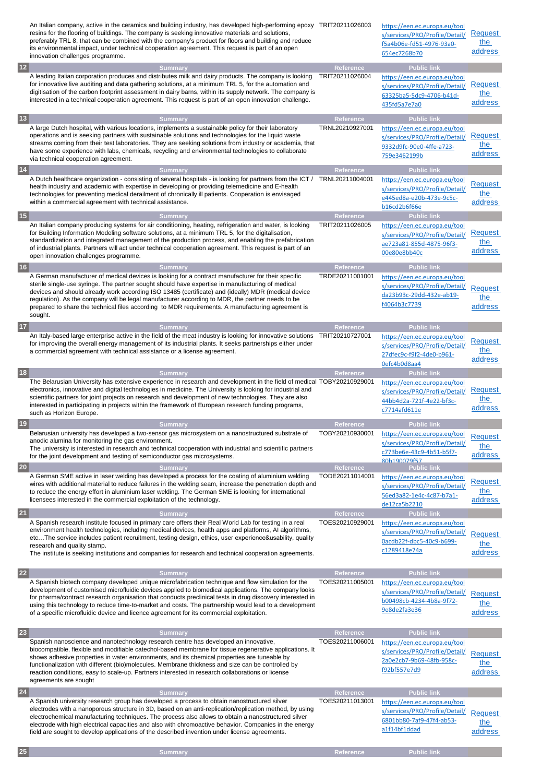|           | An Italian company, active in the ceramics and building industry, has developed high-performing epoxy TRIT20211026003<br>resins for the flooring of buildings. The company is seeking innovative materials and solutions,<br>preferably TRL 8, that can be combined with the company's product for floors and building and reduce<br>its environmental impact, under technical cooperation agreement. This request is part of an open<br>innovation challenges programme.                                                         |                                     | https://een.ec.europa.eu/tool<br>s/services/PRO/Profile/Detail/<br>f5a4b06e-fd51-4976-93a0-<br>654ec7268b70                       | <b>Request</b><br>the<br>address |
|-----------|-----------------------------------------------------------------------------------------------------------------------------------------------------------------------------------------------------------------------------------------------------------------------------------------------------------------------------------------------------------------------------------------------------------------------------------------------------------------------------------------------------------------------------------|-------------------------------------|-----------------------------------------------------------------------------------------------------------------------------------|----------------------------------|
| $12$      | <b>Summary</b>                                                                                                                                                                                                                                                                                                                                                                                                                                                                                                                    | Reference                           | <b>Public link</b>                                                                                                                |                                  |
|           | A leading Italian corporation produces and distributes milk and dairy products. The company is looking<br>for innovative live auditing and data gathering solutions, at a minimum TRL 5, for the automation and<br>digitisation of the carbon footprint assessment in dairy barns, within its supply network. The company is<br>interested in a technical cooperation agreement. This request is part of an open innovation challenge.                                                                                            | TRIT20211026004                     | https://een.ec.europa.eu/tool<br>s/services/PRO/Profile/Detail/<br>63325ba5-5dc9-4706-b41d-<br>435fd5a7e7a0                       | Request<br>the<br>address        |
| $13$      | <b>Summary</b>                                                                                                                                                                                                                                                                                                                                                                                                                                                                                                                    | Reference                           | <b>Public link</b>                                                                                                                |                                  |
|           | A large Dutch hospital, with various locations, implements a sustainable policy for their laboratory<br>operations and is seeking partners with sustainable solutions and technologies for the liquid waste<br>streams coming from their test laboratories. They are seeking solutions from industry or academia, that<br>have some experience with labs, chemicals, recycling and environmental technologies to collaborate<br>via technical cooperation agreement.                                                              | TRNL20210927001                     | https://een.ec.europa.eu/tool<br>s/services/PRO/Profile/Detail/<br>9332d9fc-90e0-4ffe-a723-<br>759e3462199b                       | Request<br>the<br>address        |
| $14$      | <b>Summary</b>                                                                                                                                                                                                                                                                                                                                                                                                                                                                                                                    | Reference                           | <b>Public link</b>                                                                                                                |                                  |
|           | A Dutch healthcare organization - consisting of several hospitals - is looking for partners from the ICT /<br>health industry and academic with expertise in developing or providing telemedicine and E-health<br>technologies for preventing medical derailment of chronically ill patients. Cooperation is envisaged<br>within a commercial agreement with technical assistance.                                                                                                                                                | TRNL20211004001                     | https://een.ec.europa.eu/tool<br>s/services/PRO/Profile/Detail/<br>e445ed8a-e20b-473e-9c5c-<br>b16cd2b6f66e                       | <b>Request</b><br>the<br>address |
| 15        | <b>Summary</b>                                                                                                                                                                                                                                                                                                                                                                                                                                                                                                                    | <b>Reference</b>                    | <b>Public link</b>                                                                                                                |                                  |
|           | An Italian company producing systems for air conditioning, heating, refrigeration and water, is looking<br>for Building Information Modeling software solutions, at a minimum TRL 5, for the digitalisation,<br>standardization and integrated management of the production process, and enabling the prefabrication<br>of industrial plants. Partners will act under technical cooperation agreement. This request is part of an<br>open innovation challenges programme.                                                        | TRIT20211026005                     | https://een.ec.europa.eu/tool<br>s/services/PRO/Profile/Detail/<br>ae723a81-855d-4875-96f3-<br>00e80e8bb40c                       | <b>Request</b><br>the<br>address |
| <b>16</b> | <b>Summary</b>                                                                                                                                                                                                                                                                                                                                                                                                                                                                                                                    | Reference                           | <b>Public link</b>                                                                                                                |                                  |
|           | A German manufacturer of medical devices is looking for a contract manufacturer for their specific<br>sterile single-use syringe. The partner sought should have expertise in manufacturing of medical<br>devices and should already work according ISO 13485 (certificate) and (ideally) MDR (medical device<br>regulation). As the company will be legal manufacturer according to MDR, the partner needs to be<br>prepared to share the technical files according to MDR requirements. A manufacturing agreement is<br>sought. | TRDE20211001001                     | https://een.ec.europa.eu/tool<br>s/services/PRO/Profile/Detail/<br>da23b93c-29dd-432e-ab19-<br>f4064b3c7739                       | <b>Request</b><br>the<br>address |
| $17$      | <b>Summary</b>                                                                                                                                                                                                                                                                                                                                                                                                                                                                                                                    | Reference                           | <b>Public link</b>                                                                                                                |                                  |
|           | An Italy-based large enterprise active in the field of the meat industry is looking for innovative solutions<br>for improving the overall energy management of its industrial plants. It seeks partnerships either under<br>a commercial agreement with technical assistance or a license agreement.                                                                                                                                                                                                                              | TRIT20210727001                     | https://een.ec.europa.eu/tool<br>s/services/PRO/Profile/Detail/<br>27dfec9c-f9f2-4de0-b961-<br>0efc4b0d8aa4                       | Request<br>the<br>address        |
| 18        | <b>Summary</b>                                                                                                                                                                                                                                                                                                                                                                                                                                                                                                                    | Reference                           | <b>Public link</b>                                                                                                                |                                  |
|           | The Belarusian University has extensive experience in research and development in the field of medical TOBY20210929001<br>electronics, innovative and digital technologies in medicine. The University is looking for industrial and<br>scientific partners for joint projects on research and development of new technologies. They are also<br>interested in participating in projects within the framework of European research funding programs,<br>such as Horizon Europe.                                                   |                                     | https://een.ec.europa.eu/tool<br>s/services/PRO/Profile/Detail/<br>44bb4d2a-721f-4e22-bf3c-<br>c7714afd611e                       | <b>Request</b><br>the<br>address |
| 19        | <b>Summary</b>                                                                                                                                                                                                                                                                                                                                                                                                                                                                                                                    | Reference                           | <b>Public link</b>                                                                                                                |                                  |
|           | Belarusian university has developed a two-sensor gas microsystem on a nanostructured substrate of<br>anodic alumina for monitoring the gas environment.<br>The university is interested in research and technical cooperation with industrial and scientific partners<br>for the joint development and testing of semiconductor gas microsystems.                                                                                                                                                                                 | TOBY20210930001                     | https://een.ec.europa.eu/tool<br>s/services/PRO/Profile/Detail/<br>c773be6e-43c9-4b51-b5f7-<br>80h190079f57                       | Request<br>the<br>address        |
| 20        | <b>Summary</b><br>A German SME active in laser welding has developed a process for the coating of aluminium welding<br>wires with additional material to reduce failures in the welding seam, increase the penetration depth and<br>to reduce the energy effort in aluminium laser welding. The German SME is looking for international<br>licensees interested in the commercial exploitation of the technology.                                                                                                                 | <b>Reference</b><br>TODE20211014001 | <b>Public link</b><br>https://een.ec.europa.eu/tool<br>s/services/PRO/Profile/Detail/<br>56ed3a82-1e4c-4c87-b7a1-<br>de12ca5b2210 | <b>Request</b><br>the<br>address |
| 21        | <b>Summary</b><br>A Spanish research institute focused in primary care offers their Real World Lab for testing in a real<br>environment health technologies, including medical devices, health apps and platforms, AI algorithms,<br>etcThe service includes patient recruitment, testing design, ethics, user experience&usability, quality<br>research and quality stamp.<br>The institute is seeking institutions and companies for research and technical cooperation agreements.                                             | Reference<br>TOES20210929001        | <b>Public link</b><br>https://een.ec.europa.eu/tool<br>s/services/PRO/Profile/Detail/<br>0acdb22f-dbc5-40c9-b699-<br>c1289418e74a | <b>Request</b><br>the<br>address |
| 22        | <b>Summary</b>                                                                                                                                                                                                                                                                                                                                                                                                                                                                                                                    | <b>Reference</b>                    | <b>Public link</b>                                                                                                                |                                  |
|           | A Spanish biotech company developed unique microfabrication technique and flow simulation for the<br>development of customised microfluidic devices applied to biomedical applications. The company looks<br>for pharma/contract research organisation that conducts preclinical tests in drug discovery interested in<br>using this technology to reduce time-to-market and costs. The partnership would lead to a development<br>of a specific microfluidic device and licence agreement for its commercial exploitation.       | TOES20211005001                     | https://een.ec.europa.eu/tool<br>s/services/PRO/Profile/Detail/<br>b00498cb-4234-4b8a-9f72-<br>9e8de2fa3e36                       | Request<br>the<br>address        |
| 23        | <b>Summary</b>                                                                                                                                                                                                                                                                                                                                                                                                                                                                                                                    | Reference                           | <b>Public link</b>                                                                                                                |                                  |
|           | Spanish nanoscience and nanotechnology research centre has developed an innovative,<br>biocompatible, flexible and modifiable catechol-based membrane for tissue regenerative applications. It<br>shows adhesive properties in water environments, and its chemical properties are tuneable by<br>functionalization with different (bio)molecules. Membrane thickness and size can be controlled by<br>reaction conditions, easy to scale-up. Partners interested in research collaborations or license<br>agreements are sought  | TOES20211006001                     | https://een.ec.europa.eu/tool<br>s/services/PRO/Profile/Detail/<br>2a0e2cb7-9b69-48fb-958c-<br>f92bf557e7d9                       | Request<br>the<br>address        |
| 24        | <b>Summary</b>                                                                                                                                                                                                                                                                                                                                                                                                                                                                                                                    | Reference                           | <b>Public link</b>                                                                                                                |                                  |
|           |                                                                                                                                                                                                                                                                                                                                                                                                                                                                                                                                   |                                     |                                                                                                                                   |                                  |
|           | A Spanish university research group has developed a process to obtain nanostructured silver<br>electrodes with a nanoporous structure in 3D, based on an anti-replication/replication method, by using<br>electrochemical manufacturing techniques. The process also allows to obtain a nanostructured silver<br>electrode with high electrical capacities and also with chromoactive behavior. Companies in the energy<br>field are sought to develop applications of the described invention under license agreements.          | TOES20211013001                     | https://een.ec.europa.eu/tool<br>s/services/PRO/Profile/Detail/<br>6801bb80-7af9-47f4-ab53-<br>a1f14bf1ddad                       | Request<br>the<br>address        |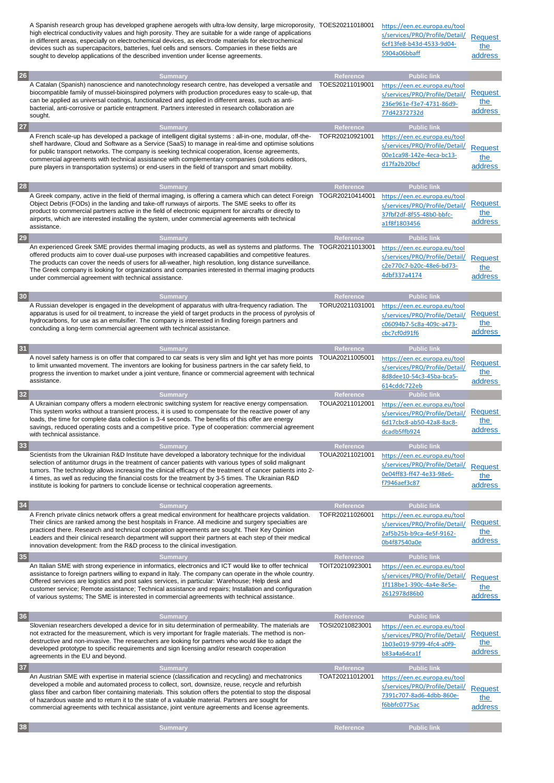|    | A Spanish research group has developed graphene aerogels with ultra-low density, large microporosity, TOES20211018001<br>high electrical conductivity values and high porosity. They are suitable for a wide range of applications<br>in different areas, especially on electrochemical devices, as electrode materials for electrochemical<br>devices such as supercapacitors, batteries, fuel cells and sensors. Companies in these fields are<br>sought to develop applications of the described invention under license agreements. |                              | https://een.ec.europa.eu/tool<br>s/services/PRO/Profile/Detail/<br>6cf13fe8-b43d-4533-9d04-<br>5904a06bbaff                       | <b>Request</b><br>the<br>address |
|----|-----------------------------------------------------------------------------------------------------------------------------------------------------------------------------------------------------------------------------------------------------------------------------------------------------------------------------------------------------------------------------------------------------------------------------------------------------------------------------------------------------------------------------------------|------------------------------|-----------------------------------------------------------------------------------------------------------------------------------|----------------------------------|
|    |                                                                                                                                                                                                                                                                                                                                                                                                                                                                                                                                         |                              |                                                                                                                                   |                                  |
| 26 | <b>Summary</b><br>A Catalan (Spanish) nanoscience and nanotechnology research centre, has developed a versatile and<br>biocompatible family of mussel-bioinspired polymers with production procedures easy to scale-up, that<br>can be applied as universal coatings, functionalized and applied in different areas, such as anti-<br>bacterial, anti-corrosive or particle entrapment. Partners interested in research collaboration are<br>sought.                                                                                    | Reference<br>TOES20211019001 | <b>Public link</b><br>https://een.ec.europa.eu/tool<br>s/services/PRO/Profile/Detail/<br>236e961e-f3e7-4731-86d9-<br>77d42372732d | Request<br>the<br>address        |
| 27 | <b>Summary</b>                                                                                                                                                                                                                                                                                                                                                                                                                                                                                                                          | <b>Reference</b>             | <b>Public link</b>                                                                                                                |                                  |
|    | A French scale-up has developed a package of intelligent digital systems : all-in-one, modular, off-the-<br>shelf hardware, Cloud and Software as a Service (SaaS) to manage in real-time and optimise solutions<br>for public transport networks. The company is seeking technical cooperation, license agreements,<br>commercial agreements with technical assistance with complementary companies (solutions editors,<br>pure players in transportation systems) or end-users in the field of transport and smart mobility.          | TOFR20210921001              | https://een.ec.europa.eu/tool<br>s/services/PRO/Profile/Detail/<br>00e1ca98-142e-4eca-bc13-<br>d17fa2b20bcf                       | <b>Request</b><br>the<br>address |
| 28 | <b>Summary</b>                                                                                                                                                                                                                                                                                                                                                                                                                                                                                                                          | Reference                    | <b>Public link</b>                                                                                                                |                                  |
|    | A Greek company, active in the field of thermal imaging, is offering a camera which can detect Foreign TOGR20210414001<br>Object Debris (FODs) in the landing and take-off runways of airports. The SME seeks to offer its<br>product to commercial partners active in the field of electronic equipment for aircrafts or directly to<br>airports, which are interested installing the system, under commercial agreements with technical<br>assistance.                                                                                |                              | https://een.ec.europa.eu/tool<br>s/services/PRO/Profile/Detail/<br>37fbf2df-8f55-48b0-bbfc-<br>a1f8f1803456                       | <b>Request</b><br>the<br>address |
| 29 | <b>Summary</b>                                                                                                                                                                                                                                                                                                                                                                                                                                                                                                                          | Reference                    | <b>Public link</b>                                                                                                                |                                  |
|    | An experienced Greek SME provides thermal imaging products, as well as systems and platforms. The TOGR20211013001<br>offered products aim to cover dual-use purposes with increased capabilities and competitive features.<br>The products can cover the needs of users for all-weather, high resolution, long distance surveillance.<br>The Greek company is looking for organizations and companies interested in thermal imaging products<br>under commercial agreement with technical assistance.                                   |                              | https://een.ec.europa.eu/tool<br>s/services/PRO/Profile/Detail/<br>c2e770c7-b20c-48e6-bd73-<br>4dbf337a4174                       | <b>Request</b><br>the<br>address |
| 30 | <b>Summary</b>                                                                                                                                                                                                                                                                                                                                                                                                                                                                                                                          | Reference                    | <b>Public link</b>                                                                                                                |                                  |
|    | A Russian developer is engaged in the development of apparatus with ultra-frequency radiation. The<br>apparatus is used for oil treatment, to increase the yield of target products in the process of pyrolysis of<br>hydrocarbons, for use as an emulsifier. The company is interested in finding foreign partners and<br>concluding a long-term commercial agreement with technical assistance.                                                                                                                                       | TORU20211031001              | https://een.ec.europa.eu/tool<br>s/services/PRO/Profile/Detail/<br>c06094b7-5c8a-409c-a473-<br>cbc7cf0d91f6                       | <b>Request</b><br>the<br>address |
| 31 | <b>Summary</b>                                                                                                                                                                                                                                                                                                                                                                                                                                                                                                                          | Reference                    | <b>Public link</b>                                                                                                                |                                  |
|    | A novel safety harness is on offer that compared to car seats is very slim and light yet has more points<br>to limit unwanted movement. The inventors are looking for business partners in the car safety field, to<br>progress the invention to market under a joint venture, finance or commercial agreement with technical<br>assistance.                                                                                                                                                                                            | TOUA20211005001              | https://een.ec.europa.eu/tool<br>s/services/PRO/Profile/Detail/<br>8d8dee10-54c3-45ba-bca5-<br>614cddc722eb                       | <b>Request</b><br>the<br>address |
| 32 | <b>Summary</b>                                                                                                                                                                                                                                                                                                                                                                                                                                                                                                                          | Reference                    | <b>Public link</b>                                                                                                                |                                  |
|    | A Ukrainian company offers a modern electronic switching system for reactive energy compensation.<br>This system works without a transient process, it is used to compensate for the reactive power of any<br>loads, the time for complete data collection is 3-4 seconds. The benefits of this offer are energy<br>savings, reduced operating costs and a competitive price. Type of cooperation: commercial agreement<br>with technical assistance.                                                                                   | TOUA20211012001              | https://een.ec.europa.eu/tool<br>s/services/PRO/Profile/Detail/<br>6d17cbc8-ab50-42a8-8ac8-<br>dcadb5ffb924                       | Request<br>the<br>address        |
| 33 | <b>Summary</b>                                                                                                                                                                                                                                                                                                                                                                                                                                                                                                                          | Reference                    | <b>Public link</b>                                                                                                                |                                  |
|    | Scientists from the Ukrainian R&D Institute have developed a laboratory technique for the individual<br>selection of antitumor drugs in the treatment of cancer patients with various types of solid malignant<br>tumors. The technology allows increasing the clinical efficacy of the treatment of cancer patients into 2-<br>4 times, as well as reducing the financial costs for the treatment by 3-5 times. The Ukrainian R&D<br>institute is looking for partners to conclude license or technical cooperation agreements.        | TOUA20211021001              | https://een.ec.europa.eu/tool<br>s/services/PRO/Profile/Detail/<br>0e04ff83-ff47-4e33-98e6-<br>f7946aef3c87                       | <b>Request</b><br>the<br>address |
| 34 | <b>Summary</b>                                                                                                                                                                                                                                                                                                                                                                                                                                                                                                                          | Reference                    | <b>Public link</b>                                                                                                                |                                  |
|    | A French private clinics network offers a great medical environment for healthcare projects validation.<br>Their clinics are ranked among the best hospitals in France. All medicine and surgery specialties are<br>practiced there. Research and technical cooperation agreements are sought. Their Key Opinion<br>Leaders and their clinical research department will support their partners at each step of their medical<br>innovation development: from the R&D process to the clinical investigation.                             | TOFR20211026001              | https://een.ec.europa.eu/tool<br>s/services/PRO/Profile/Detail/<br>2af5b25b-b9ca-4e5f-9162-<br>0b4f87540a0e                       | <b>Request</b><br>the<br>address |
| 35 | <b>Summary</b>                                                                                                                                                                                                                                                                                                                                                                                                                                                                                                                          | Reference                    | <b>Public link</b>                                                                                                                |                                  |
|    | An Italian SME with strong experience in informatics, electronics and ICT would like to offer technical<br>assistance to foreign partners willing to expand in Italy. The company can operate in the whole country.<br>Offered services are logistics and post sales services, in particular: Warehouse; Help desk and<br>customer service; Remote assistance; Technical assistance and repairs; Installation and configuration<br>of various systems; The SME is interested in commercial agreements with technical assistance.        | TOIT20210923001              | https://een.ec.europa.eu/tool<br>s/services/PRO/Profile/Detail/<br>1f118be1-390c-4a4e-8e5e-<br>2612978d86b0                       | <b>Request</b><br>the<br>address |
| 36 | <b>Summary</b><br>Slovenian researchers developed a device for in situ determination of permeability. The materials are<br>not extracted for the measurement, which is very important for fragile materials. The method is non-<br>destructive and non-invasive. The researchers are looking for partners who would like to adapt the<br>developed prototype to specific requirements and sign licensing and/or research cooperation<br>agreements in the EU and beyond.                                                                | Reference<br>TOSI20210823001 | <b>Public link</b><br>https://een.ec.europa.eu/tool<br>s/services/PRO/Profile/Detail/<br>1b03e019-9799-4fc4-a0f9-<br>b83a4a64ca1f | Request<br>the<br>address        |
| 37 | <b>Summary</b>                                                                                                                                                                                                                                                                                                                                                                                                                                                                                                                          | Reference                    | <b>Public link</b>                                                                                                                |                                  |
|    | An Austrian SME with expertise in material science (classification and recycling) and mechatronics<br>developed a mobile and automated process to collect, sort, downsize, reuse, recycle and refurbish<br>glass fiber and carbon fiber containing materials. This solution offers the potential to stop the disposal<br>of hazardous waste and to return it to the state of a valuable material. Partners are sought for<br>commercial agreements with technical assistance, joint venture agreements and license agreements.          | TOAT20211012001              | https://een.ec.europa.eu/tool<br>s/services/PRO/Profile/Detail/<br>7391c707-8ad6-4dbb-860e-<br>f6bbfc0775ac                       | <b>Request</b><br>the<br>address |
| 38 | <b>Summary</b>                                                                                                                                                                                                                                                                                                                                                                                                                                                                                                                          | Reference                    | <b>Public link</b>                                                                                                                |                                  |
|    |                                                                                                                                                                                                                                                                                                                                                                                                                                                                                                                                         |                              |                                                                                                                                   |                                  |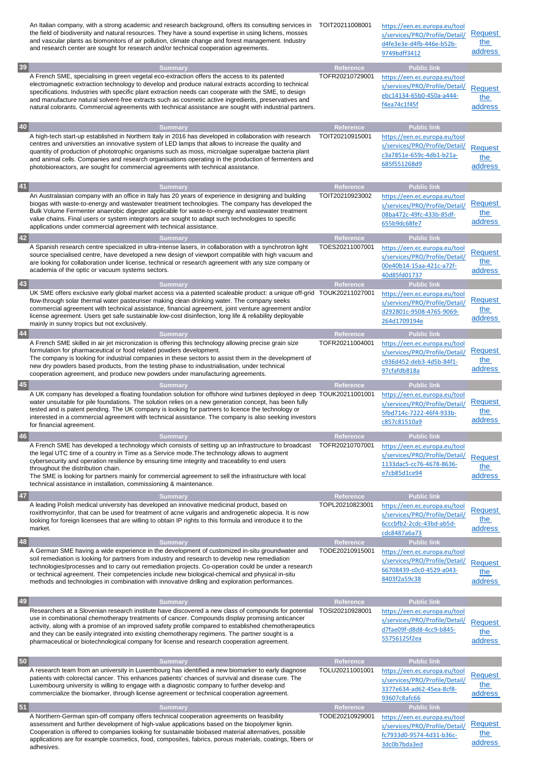|    | An Italian company, with a strong academic and research background, offers its consulting services in TOIT20211008001<br>the field of biodiversity and natural resources. They have a sound expertise in using lichens, mosses<br>and vascular plants as biomonitors of air pollution, climate change and forest management. Industry<br>and research center are sought for research and/or technical cooperation agreements.                                                                                                                      |                              | https://een.ec.europa.eu/tool<br>s/services/PRO/Profile/Detail/<br>d4fe3e3e-d4fb-446e-b52b-<br>9749bdff3412                       | Request<br>the<br>address        |
|----|----------------------------------------------------------------------------------------------------------------------------------------------------------------------------------------------------------------------------------------------------------------------------------------------------------------------------------------------------------------------------------------------------------------------------------------------------------------------------------------------------------------------------------------------------|------------------------------|-----------------------------------------------------------------------------------------------------------------------------------|----------------------------------|
| 39 | <b>Summary</b><br>A French SME, specialising in green vegetal eco-extraction offers the access to its patented<br>electromagnetic extraction technology to develop and produce natural extracts according to technical<br>specifications. Industries with specific plant extraction needs can cooperate with the SME, to design<br>and manufacture natural solvent-free extracts such as cosmetic active ingredients, preservatives and<br>natural colorants. Commercial agreements with technical assistance are sought with industrial partners. | Reference<br>TOFR20210729001 | <b>Public link</b><br>https://een.ec.europa.eu/tool<br>s/services/PRO/Profile/Detail/<br>ebc14134-65b0-450a-a444-<br>f4ea74c1f45f | <b>Request</b><br>the<br>address |
| 40 | <b>Summary</b>                                                                                                                                                                                                                                                                                                                                                                                                                                                                                                                                     | Reference                    | <b>Public link</b>                                                                                                                |                                  |
|    | A high-tech start-up established in Northern Italy in 2016 has developed in collaboration with research<br>centres and universities an innovative system of LED lamps that allows to increase the quality and<br>quantity of production of phototrophic organisms such as moss, microalgae superalgae bacteria plant<br>and animal cells. Companies and research organisations operating in the production of fermenters and<br>photobioreactors, are sought for commercial agreements with technical assistance.                                  | TOIT20210915001              | https://een.ec.europa.eu/tool<br>s/services/PRO/Profile/Detail/<br>c3a7851e-659c-4db1-b21a-<br>685f551268d9                       | <b>Request</b><br>the<br>address |
| 41 | <b>Summary</b>                                                                                                                                                                                                                                                                                                                                                                                                                                                                                                                                     | <b>Reference</b>             | <b>Public link</b>                                                                                                                |                                  |
|    | An Australasian company with an office in Italy has 20 years of experience in designing and building<br>biogas with waste-to-energy and wastewater treatment technologies. The company has developed the<br>Bulk Volume Fermenter anaerobic digester applicable for waste-to-energy and wastewater treatment<br>value chains. Final users or system integrators are sought to adapt such technologies to specific<br>applications under commercial agreement with technical assistance.                                                            | TOIT20210923002              | https://een.ec.europa.eu/tool<br>s/services/PRO/Profile/Detail/<br>08ba472c-49fc-433b-85df-<br>655b9dc68fe7                       | Request<br>the<br>address        |
| 42 | <b>Summary</b>                                                                                                                                                                                                                                                                                                                                                                                                                                                                                                                                     | Reference<br>TOES20211007001 | <b>Public link</b>                                                                                                                |                                  |
|    | A Spanish research centre specialized in ultra-intense lasers, in collaboration with a synchrotron light<br>source specialised centre, have developed a new design of viewport compatible with high vacuum and<br>are looking for collaboration under license, technical or research agreement with any size company or<br>academia of the optic or vacuum systems sectors.                                                                                                                                                                        |                              | https://een.ec.europa.eu/tool<br>s/services/PRO/Profile/Detail/<br>00e40b14-15aa-421c-a72f-<br>40d85fd01737                       | <b>Request</b><br>the<br>address |
| 43 | <b>Summary</b>                                                                                                                                                                                                                                                                                                                                                                                                                                                                                                                                     | <b>Reference</b>             | <b>Public link</b>                                                                                                                |                                  |
|    | UK SME offers exclusive early global market access via a patented scaleable product: a unique off-grid TOUK20211027001<br>flow-through solar thermal water pasteuriser making clean drinking water. The company seeks<br>commercial agreement with technical assistance, financial agreement, joint venture agreement and/or<br>license agreement. Users get safe sustainable low-cost disinfection, long life & reliability deployable<br>mainly in sunny tropics but not exclusively.                                                            |                              | https://een.ec.europa.eu/tool<br>s/services/PRO/Profile/Detail/<br>d292801c-9508-4765-9069-<br>264d1709194e                       | Request<br>the<br>address        |
| 44 | <b>Summary</b><br>A French SME skilled in air jet micronization is offering this technology allowing precise grain size<br>formulation for pharmaceutical or food related powders development.<br>The company is looking for industrial companies in these sectors to assist them in the development of<br>new dry powders based products, from the testing phase to industrialisation, under technical<br>cooperation agreement, and produce new powders under manufacturing agreements.                                                          | Reference<br>TOFR20211004001 | <b>Public link</b><br>https://een.ec.europa.eu/tool<br>s/services/PRO/Profile/Detail/<br>c936d452-deb3-4d5b-84f1-<br>97cfafdb818a | Request<br>the<br>address        |
| 45 | <b>Summary</b>                                                                                                                                                                                                                                                                                                                                                                                                                                                                                                                                     | Reference                    | <b>Public link</b>                                                                                                                |                                  |
|    | A UK company has developed a floating foundation solution for offshore wind turbines deployed in deep TOUK20211001001<br>water unsuitable for pile foundations. The solution relies on a new generation concept, has been fully<br>tested and is patent pending. The UK company is looking for partners to licence the technology or<br>interested in a commercial agreement with technical assistance. The company is also seeking investors<br>for financial agreement.                                                                          |                              | https://een.ec.europa.eu/tool<br>s/services/PRO/Profile/Detail/<br>5fbd714c-7222-46f4-933b-<br>c857c81510a9                       | <b>Request</b><br>the<br>address |
| 46 | <b>Summary</b>                                                                                                                                                                                                                                                                                                                                                                                                                                                                                                                                     | <b>Reference</b>             | <b>Public link</b>                                                                                                                |                                  |
|    |                                                                                                                                                                                                                                                                                                                                                                                                                                                                                                                                                    |                              |                                                                                                                                   |                                  |
|    | A French SME has developed a technology which consists of setting up an infrastructure to broadcast<br>the legal UTC time of a country in Time as a Service mode. The technology allows to augment<br>cybersecurity and operation resilience by ensuring time integrity and traceability to end users<br>throughout the distribution chain.<br>The SME is looking for partners mainly for commercial agreement to sell the infrastructure with local<br>technical assistance in installation, commissioning & maintenance.                         | TOFR20210707001              | https://een.ec.europa.eu/tool<br>s/services/PRO/Profile/Detail/<br>1133dac5-cc76-4678-8636-<br>e7cb85d1ce94                       | <b>Request</b><br>the<br>address |
| 47 | <b>Summary</b>                                                                                                                                                                                                                                                                                                                                                                                                                                                                                                                                     | Reference                    | <b>Public link</b>                                                                                                                |                                  |
|    | A leading Polish medical university has developed an innovative medicinal product, based on<br>roxithromycinfor, that can be used for treatment of acne vulgaris and androgenetic alopecia. It is now<br>looking for foreign licensees that are willing to obtain IP rights to this formula and introduce it to the<br>market.                                                                                                                                                                                                                     | TOPL20210823001              | https://een.ec.europa.eu/tool<br>s/services/PRO/Profile/Detail/<br>6cccbfb2-2cdc-43bd-ab5d-<br>cdc8487a6a73                       | Request<br>the<br><u>address</u> |
| 48 | <b>Summary</b>                                                                                                                                                                                                                                                                                                                                                                                                                                                                                                                                     | Reference                    | <b>Public link</b>                                                                                                                |                                  |
|    | A German SME having a wide experience in the development of customized in-situ groundwater and<br>soil remediation is looking for partners from industry and research to develop new remediation<br>technologies/processes and to carry out remediation projects. Co-operation could be under a research<br>or technical agreement. Their competencies include new biological-chemical and physical in-situ<br>methods and technologies in combination with innovative drilling and exploration performances.                                      | TODE20210915001              | https://een.ec.europa.eu/tool<br>s/services/PRO/Profile/Detail/<br>66708439-c0c0-4529-a043-<br>8403f2a59c38                       | Request<br>the<br>address        |
| 49 | <b>Summary</b><br>Researchers at a Slovenian research institute have discovered a new class of compounds for potential TOSI20210928001<br>use in combinational chemotherapy treatments of cancer. Compounds display promising anticancer<br>activity, along with a promise of an improved safety profile compared to established chemotherapeutics<br>and they can be easily integrated into existing chemotherapy regimens. The partner sought is a<br>pharmaceutical or biotechnological company for license and research cooperation agreement. | Reference                    | <b>Public link</b><br>https://een.ec.europa.eu/tool<br>s/services/PRO/Profile/Detail/<br>d7fae09f-d8d8-4cc9-b845-<br>55756125f2ea | <b>Request</b><br>the<br>address |
| 50 | <b>Summary</b>                                                                                                                                                                                                                                                                                                                                                                                                                                                                                                                                     | Reference                    | <b>Public link</b>                                                                                                                |                                  |
|    | A research team from an university in Luxembourg has identified a new biomarker to early diagnose<br>patients with colorectal cancer. This enhances patients' chances of survival and disease cure. The<br>Luxembourg university is willing to engage with a diagnostic company to further develop and<br>commercialize the biomarker, through license agreement or technical cooperation agreement.                                                                                                                                               | TOLU20211001001              | https://een.ec.europa.eu/tool<br>s/services/PRO/Profile/Detail/<br>3377e634-ad62-45ea-8cf8-<br>93607c8afc66                       | <b>Request</b><br>the<br>address |
| 51 | Summary<br>A Northern-German spin-off company offers technical cooperation agreements on feasibility                                                                                                                                                                                                                                                                                                                                                                                                                                               | Reference<br>TODE20210929001 | <b>Public link</b><br>https://een.ec.europa.eu/tool                                                                               |                                  |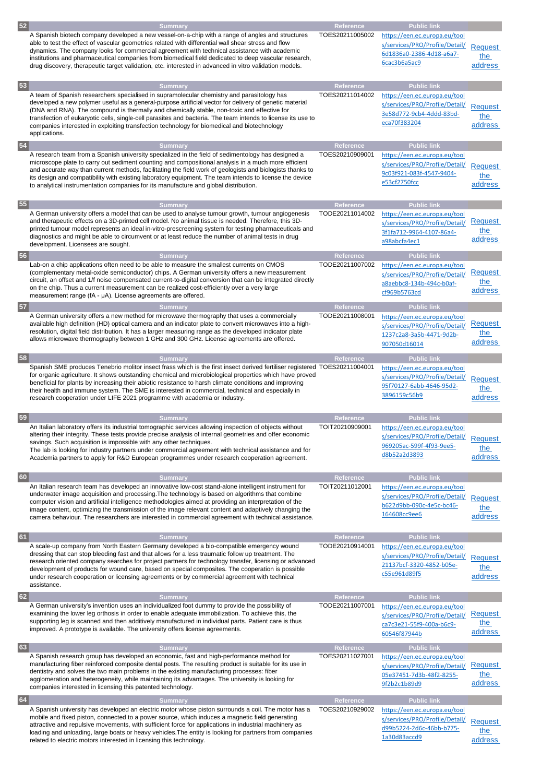| 52 |                                                                                                                                                                                                                                                                                                                                                                                                                                                                                                                                                       |                                     |                                                                                                                                   |                                  |
|----|-------------------------------------------------------------------------------------------------------------------------------------------------------------------------------------------------------------------------------------------------------------------------------------------------------------------------------------------------------------------------------------------------------------------------------------------------------------------------------------------------------------------------------------------------------|-------------------------------------|-----------------------------------------------------------------------------------------------------------------------------------|----------------------------------|
|    | <b>Summary</b><br>A Spanish biotech company developed a new vessel-on-a-chip with a range of angles and structures<br>able to test the effect of vascular geometries related with differential wall shear stress and flow<br>dynamics. The company looks for commercial agreement with technical assistance with academic<br>institutions and pharmaceutical companies from biomedical field dedicated to deep vascular research,<br>drug discovery, therapeutic target validation, etc. interested in advanced in vitro validation models.           | <b>Reference</b><br>TOES20211005002 | <b>Public link</b><br>https://een.ec.europa.eu/tool<br>s/services/PRO/Profile/Detail/<br>6d1836a0-2386-4d18-a6a7-<br>6cac3b6a5ac9 | <b>Request</b><br>the<br>address |
| 53 | <b>Summary</b><br>A team of Spanish researchers specialised in supramolecular chemistry and parasitology has<br>developed a new polymer useful as a general-purpose artificial vector for delivery of genetic material<br>(DNA and RNA). The compound is thermally and chemically stable, non-toxic and effective for<br>transfection of eukaryotic cells, single-cell parasites and bacteria. The team intends to license its use to<br>companies interested in exploiting transfection technology for biomedical and biotechnology<br>applications. | Reference<br>TOES20211014002        | <b>Public link</b><br>https://een.ec.europa.eu/tool<br>s/services/PRO/Profile/Detail/<br>3e58d772-9cb4-4ddd-83bd-<br>eca70f383204 | <b>Request</b><br>the<br>address |
| 54 | <b>Summary</b><br>A research team from a Spanish university specialized in the field of sedimentology has designed a<br>microscope plate to carry out sediment counting and compositional analysis in a much more efficient<br>and accurate way than current methods, facilitating the field work of geologists and biologists thanks to<br>its design and compatibility with existing laboratory equipment. The team intends to license the device<br>to analytical instrumentation companies for its manufacture and global distribution.           | <b>Reference</b><br>TOES20210909001 | <b>Public link</b><br>https://een.ec.europa.eu/tool<br>s/services/PRO/Profile/Detail/<br>9c03f921-083f-4547-9404-<br>e53cf2750fcc | <b>Request</b><br>the<br>address |
|    |                                                                                                                                                                                                                                                                                                                                                                                                                                                                                                                                                       |                                     |                                                                                                                                   |                                  |
| 55 | <b>Summary</b><br>A German university offers a model that can be used to analyse tumour growth, tumour angiogenesis<br>and therapeutic effects on a 3D-printed cell model. No animal tissue is needed. Therefore, this 3D-<br>printed tumour model represents an ideal in-vitro-prescreening system for testing pharmaceuticals and<br>diagnostics and might be able to circumvent or at least reduce the number of animal tests in drug<br>development. Licensees are sought.                                                                        | <b>Reference</b><br>TODE20211014002 | <b>Public link</b><br>https://een.ec.europa.eu/tool<br>s/services/PRO/Profile/Detail/<br>3f1fa712-9964-4107-86a4-<br>a98abcfa4ec1 | <b>Request</b><br>the<br>address |
| 56 | <b>Summary</b><br>Lab-on a chip applications often need to be able to measure the smallest currents on CMOS<br>(complementary metal-oxide semiconductor) chips. A German university offers a new measurement<br>circuit, an offset and 1/f noise compensated current-to-digital conversion that can be integrated directly<br>on the chip. Thus a current measurement can be realized cost-efficiently over a very large<br>measurement range $(fA - \mu A)$ . License agreements are offered.                                                        | Reference<br>TODE20211007002        | <b>Public link</b><br>https://een.ec.europa.eu/tool<br>s/services/PRO/Profile/Detail/<br>a8aebbc8-134b-494c-b0af-<br>cf969b5763cd | Request<br>the<br>address        |
| 57 | <b>Summary</b>                                                                                                                                                                                                                                                                                                                                                                                                                                                                                                                                        | Reference                           | <b>Public link</b>                                                                                                                |                                  |
|    | A German university offers a new method for microwave thermography that uses a commercially<br>available high definition (HD) optical camera and an indicator plate to convert microwaves into a high-<br>resolution, digital field distribution. It has a larger measuring range as the developed indicator plate<br>allows microwave thermography between 1 GHz and 300 GHz. License agreements are offered.                                                                                                                                        | TODE20211008001                     | https://een.ec.europa.eu/tool<br>s/services/PRO/Profile/Detail/<br>1237c2a8-3a5b-4471-9d2b-<br>907050d16014                       | <b>Request</b><br>the<br>address |
| 58 | <b>Summary</b>                                                                                                                                                                                                                                                                                                                                                                                                                                                                                                                                        | <b>Reference</b>                    | <b>Public link</b>                                                                                                                |                                  |
|    | Spanish SME produces Tenebrio molitor insect frass which is the first insect derived fertiliser registered TOES20211004001<br>for organic agriculture. It shows outstanding chemical and microbiological properties which have proved<br>beneficial for plants by increasing their abiotic resistance to harsh climate conditions and improving<br>their health and immune system. The SME is interested in commercial, technical and especially in<br>research cooperation under LIFE 2021 programme with academia or industry.                      |                                     | https://een.ec.europa.eu/tool<br>s/services/PRO/Profile/Detail/<br>95f70127-6abb-4646-95d2-<br>3896159c56b9                       | <b>Request</b><br>the<br>address |
| 59 | <b>Summary</b>                                                                                                                                                                                                                                                                                                                                                                                                                                                                                                                                        | Reference                           | <b>Public link</b>                                                                                                                |                                  |
|    | An Italian laboratory offers its industrial tomographic services allowing inspection of objects without<br>altering their integrity. These tests provide precise analysis of internal geometries and offer economic<br>savings. Such acquisition is impossible with any other techniques.<br>The lab is looking for industry partners under commercial agreement with technical assistance and for<br>Academia partners to apply for R&D European programmes under research cooperation agreement.                                                    | TOIT20210909001                     | https://een.ec.europa.eu/tool<br>s/services/PRO/Profile/Detail/<br>969205ac-599f-4f93-9ee5-<br>d8b52a2d3893                       | <b>Request</b><br>the<br>address |
| 60 | <b>Summary</b><br>An Italian research team has developed an innovative low-cost stand-alone intelligent instrument for<br>underwater image acquisition and processing. The technology is based on algorithms that combine<br>computer vision and artificial intelligence methodologies aimed at providing an interpretation of the<br>image content, optimizing the transmission of the image relevant content and adaptively changing the<br>camera behaviour. The researchers are interested in commercial agreement with technical assistance.     | Reference<br>TOIT20211012001        | <b>Public link</b><br>https://een.ec.europa.eu/tool<br>s/services/PRO/Profile/Detail/<br>b622d9bb-090c-4e5c-bc46-<br>164608cc9ee6 | <b>Request</b><br>the<br>address |
| 61 | <b>Summary</b>                                                                                                                                                                                                                                                                                                                                                                                                                                                                                                                                        | Reference                           | <b>Public link</b>                                                                                                                |                                  |
|    | A scale-up company from North Eastern Germany developed a bio-compatible emergency wound<br>dressing that can stop bleeding fast and that allows for a less traumatic follow up treatment. The<br>research oriented company searches for project partners for technology transfer, licensing or advanced<br>development of products for wound care, based on special composites. The cooperation is possible<br>under research cooperation or licensing agreements or by commercial agreement with technical<br>assistance.                           | TODE20210914001                     | https://een.ec.europa.eu/tool<br>s/services/PRO/Profile/Detail/<br>21137bcf-3320-4852-b05e-<br>c55e961d89f5                       | <b>Request</b><br>the<br>address |
| 62 | <b>Summary</b>                                                                                                                                                                                                                                                                                                                                                                                                                                                                                                                                        | Reference                           | <b>Public link</b>                                                                                                                |                                  |
|    | A German university's invention uses an individualized foot dummy to provide the possibility of<br>examining the lower leg orthosis in order to enable adequate immobilization. To achieve this, the<br>supporting leg is scanned and then additively manufactured in individual parts. Patient care is thus<br>improved. A prototype is available. The university offers license agreements.                                                                                                                                                         | TODE20211007001                     | https://een.ec.europa.eu/tool<br>s/services/PRO/Profile/Detail/<br>ca7c3e21-55f9-400a-b6c9-<br>60546f87944b                       | <b>Request</b><br>the<br>address |
| 63 | <b>Summary</b>                                                                                                                                                                                                                                                                                                                                                                                                                                                                                                                                        | Reference                           | <b>Public link</b>                                                                                                                |                                  |
|    | A Spanish research group has developed an economic, fast and high-performance method for<br>manufacturing fiber reinforced composite dental posts. The resulting product is suitable for its use in<br>dentistry and solves the two main problems in the existing manufacturing processes: fiber<br>agglomeration and heterogeneity, while maintaining its advantages. The university is looking for<br>companies interested in licensing this patented technology.                                                                                   | TOES20211027001                     | https://een.ec.europa.eu/tool<br>s/services/PRO/Profile/Detail/<br>05e37451-7d3b-48f2-8255-<br>9f2b2c1b89d9                       | Request<br>the<br>address        |
| 64 | <b>Summary</b>                                                                                                                                                                                                                                                                                                                                                                                                                                                                                                                                        | Reference                           | <b>Public link</b>                                                                                                                |                                  |
|    | A Spanish university has developed an electric motor whose piston surrounds a coil. The motor has a<br>mobile and fixed piston, connected to a power source, which induces a magnetic field generating<br>attractive and repulsive movements, with sufficient force for applications in industrial machinery as<br>loading and unloading, large boats or heavy vehicles. The entity is looking for partners from companies<br>related to electric motors interested in licensing this technology.                                                     | TOES20210929002                     | https://een.ec.europa.eu/tool<br>s/services/PRO/Profile/Detail/<br>d99b5224-2d6c-46bb-b775-<br>1a30d83accd9                       | <b>Request</b><br>the<br>address |